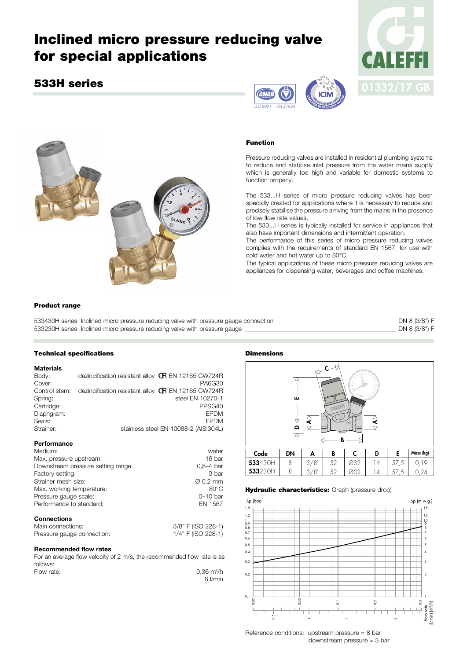# **Inclined micro pressure reducing valve for special applications**

# **533H series**







#### **Function**

Pressure reducing valves are installed in residential plumbing systems to reduce and stabilise inlet pressure from the water mains supply which is generally too high and variable for domestic systems to function properly.

The 533...H series of micro pressure reducing valves has been specially created for applications where it is necessary to reduce and precisely stabilise the pressure arriving from the mains in the presence of low flow rate values.

The 533...H series is typically installed for service in appliances that also have important dimensions and intermittent operation.

The performance of this series of micro pressure reducing valves complies with the requirements of standard EN 1567, for use with cold water and hot water up to 80°C.

The typical applications of these micro pressure reducing valves are appliances for dispensing water, beverages and coffee machines.

## **Product range**

| 533430H series Inclined micro pressure reducing valve with pressure gauge connection | DN 8 (3/8") F |  |
|--------------------------------------------------------------------------------------|---------------|--|
| 533230H series Inclined micro pressure reducing valve with pressure gauge            | DN 8 (3/8") F |  |

#### **Technical specifications**

#### **Materials**

Body: dezincification resistant alloy **GR** EN 12165 CW724R<br>Cover: PA6G30 Cover: PA6G30 Control stem: dezincification resistant alloy  $\mathbb{G}$  EN 12165 CW724R<br>Spring: steel EN 10270-1 steel EN 10270-1 Cartridge: PPSG40<br>
Diaphgram: EPDM<br>
PPSG40 Diaphgram: EPDM<br>Seals: EPDM<br>Seals: EPDM Seals: EPDM Strainer: stainless steel EN 10088-2 (AISI304L)

#### **Performance**

| Medium:                            | water                |
|------------------------------------|----------------------|
| Max. pressure upstream:            | 16 bar               |
| Downstream pressure setting range: | $0.8 - 4$ bar        |
| Factory setting:                   | 3 bar                |
| Strainer mesh size:                | $\varnothing$ 0.2 mm |
| Max. working temperature:          | $80^{\circ}$ C       |
| Pressure gauge scale:              | $0 - 10$ bar         |
| Performance to standard:           | EN 1567              |
| <b>Connections</b>                 |                      |
| Main connections:                  | 3/8" F (ISO 228-1)   |

| - Main connections:        | 3/8 F (150 228-1)  |
|----------------------------|--------------------|
| Pressure gauge connection: | 1/4" F (ISO 228-1) |

#### **Recommended flow rates**

For an average flow velocity of 2 m/s, the recommended flow rate is as follows: /h

| Flow rate: | $0.36 \text{ m}^3/h$ |
|------------|----------------------|
|            | 6 l/min              |

#### **Dimensions**



#### **Hydraulic characteristics:** Graph (pressure drop)



Reference conditions: upstream pressure = 8 bar downstream pressure = 3 bar